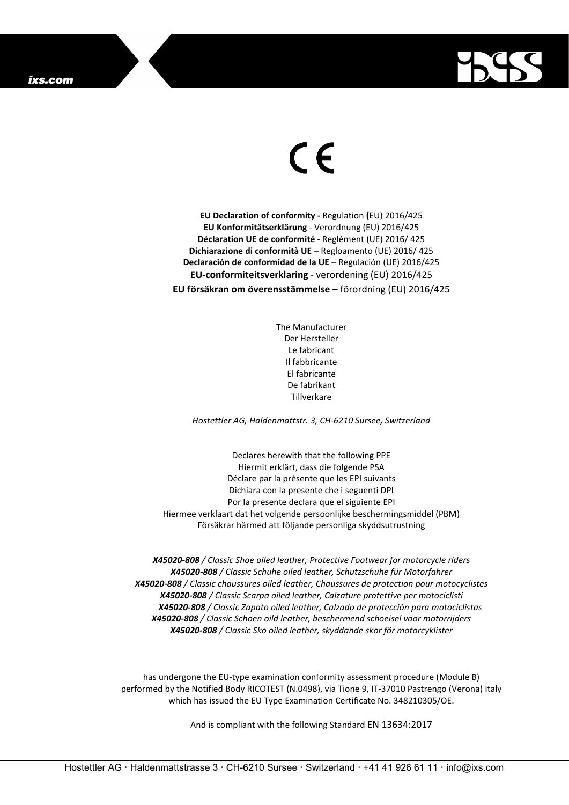

## $\epsilon$

**EU Declaration of conformity -** Regulation **(**EU) 2016/425 **EU Konformitätserklärung** - Verordnung (EU) 2016/425 **Déclaration UE de conformité** - Reglément (UE) 2016/ 425 **Dichiarazione di conformità UE** – Regloamento (UE) 2016/ 425 **Declaración de conformidad de la UE** – Regulación (UE) 2016/425 **EU-conformiteitsverklaring** - verordening (EU) 2016/425 **EU försäkran om överensstämmelse** – förordning (EU) 2016/425

> The Manufacturer Der Hersteller Le fabricant Il fabbricante El fabricante De fabrikant **Tillverkare**

*Hostettler AG, Haldenmattstr. 3, CH-6210 Sursee, Switzerland*

Declares herewith that the following PPE Hiermit erklärt, dass die folgende PSA Déclare par la présente que les EPI suivants Dichiara con la presente che i seguenti DPI Por la presente declara que el siguiente EPI Hiermee verklaart dat het volgende persoonlijke beschermingsmiddel (PBM) Försäkrar härmed att följande personliga skyddsutrustning

*X45020-808 / Classic Shoe oiled leather, Protective Footwear for motorcycle riders X45020-808 / Classic Schuhe oiled leather, Schutzschuhe für Motorfahrer X45020-808 / Classic chaussures oiled leather, Chaussures de protection pour motocyclistes X45020-808 / Classic Scarpa oiled leather, Calzature protettive per motociclisti X45020-808 / Classic Zapato oiled leather, Calzado de protección para motociclistas X45020-808 / Classic Schoen oild leather, beschermend schoeisel voor motorrijders X45020-808 / Classic Sko oiled leather, skyddande skor för motorcyklister*

has undergone the EU-type examination conformity assessment procedure (Module B) performed by the Notified Body RICOTEST (N.0498), via Tione 9, IT-37010 Pastrengo (Verona) Italy which has issued the EU Type Examination Certificate No. 348210305/OE.

And is compliant with the following Standard EN 13634:2017